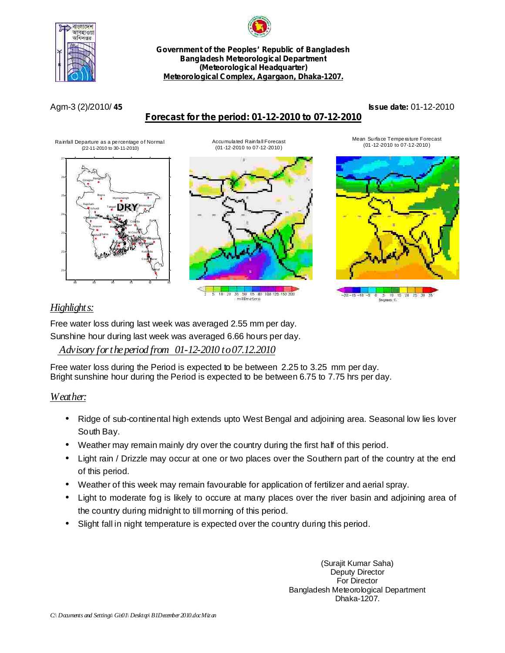



**Government of the Peoples' Republic of Bangladesh Bangladesh Meteorological Department (Meteorological Headquarter) Meteorological Complex, Agargaon, Dhaka-1207.**

# **Forecast for the period: 01-12-2010 to 07-12-2010**

Accumulated Rainfall Forecast (01-12-2010 to 07-12-2010)

**45 Issue date:** Agm-3 (2)/2010/ 01-12-2010

#### Rainfall Departure as a percentage of Normal (22-11-2010 to 30-11-2010)





5 80 100 125 150 200 millimeters

Mean Surface Temperature Forecast (01-12-2010 to 07-12-2010)



10 1,15 Degrees ()

# *Highlights:*

Free water loss during last week was averaged 2.55 mm per day.

Sunshine hour during last week was averaged 6.66 hours per day.

## *Advisory fortheperiod from 01-12-2010 to07.12.2010*

Free water loss during the Period is expected to be between 2.25 to 3.25 mm per day. Bright sunshine hour during the Period is expected to be between 6.75 to 7.75 hrs per day.

## *Weather:*

- Ridge of sub-continental high extends upto West Bengal and adjoining area. Seasonal low lies lover South Bay. •
- Weather may remain mainly dry over the country during the first half of this period. •
- Light rain / Drizzle may occur at one or two places over the Southern part of the country at the end of this period. •
- Weather of this week may remain favourable for application of fertilizer and aerial spray.
- Light to moderate fog is likely to occure at many places over the river basin and adjoining area of the country during midnight to till morning of this period. •
- Slight fall in night temperature is expected over the country during this period. •

(Surajit Kumar Saha) Deputy Director For Director Bangladesh Meteorological Department Dhaka-1207.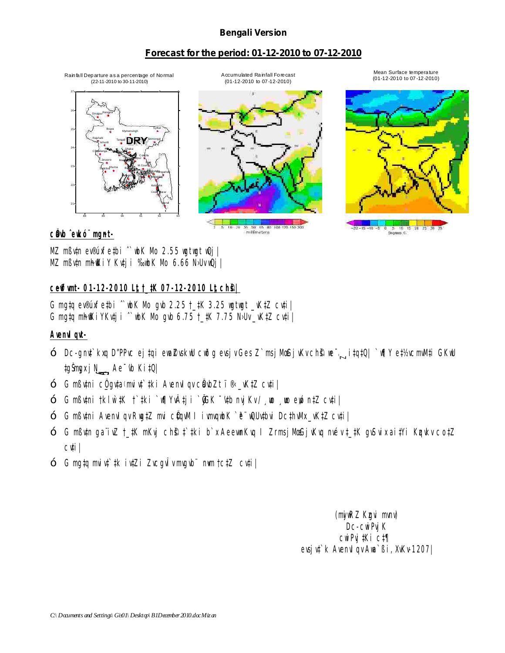### **Bengali Version**

### **Forecast for the period: 01-12-2010 to 07-12-2010**

(22-11-2010 to 30-11-2010) 88 89 90 91 92 93 21 22 23 24 25 26 27 Dhaka **Mymensingh** Faridpur Mad**ayout** Tangail Chittagge Sitakunda<sub>ngamati</sub> Coxs<sup>p</sup> Bazar Teknaf Hatiya **Candwin** Kutubdia Feni M.Court Chandpur Comilla **Sylhet** DRY Rajshahi Bogra Ishurdi Rangpur Dinajpur Khulna Jessore Chuadanga Satkhira<sup>Khulna</sup> Ba<mark>llaga</mark>na Patuakhali Khepupara

Rainfall Departure as a percentage of Normal

Accumulated Rainfall Forecast (01-12-2010 to 07-12-2010)

millimeters

Mean Surface temperature (01-12-2010 to 07-12-2010)



 $c$ **@wb**  $\hat{c}$ **wkó** mgnt-

MZ mßv‡n ev®úxfe‡bi ^`wbK Mo 2.55 wgtwgt wQj |  $MZ$  m $B$ v $\uparrow$ n m $A$  $K$ i Y Kv $\uparrow$ j i ‰vbK Mo 6.66 N›Uv vQj |

### **c~e©vfvmt- 01-12-2010 L"t †\_‡K 07-12-2010 L"t ch©š—|**

G mg $tq$  ev®úxfe $t$ bi  $\degree$ wbK Mo gvb 2.25  $t$ \_ $t$ K 3.25 wg $t$ wg $t$  \_wk $tZ$  cv $t$ i | G mg $tp$  mh $\mathbb K$ i YKv $tp$ i  $\hat{ }$  wbK Mo gvb 6.75  $\frac{1}{k}$ K 7.75 N>Uv \_vK $\frac{1}{k}$ Z cv $\frac{1}{k}$ |

Avenv<sub>I</sub> qvt-

- Dc-gnv‡`kxq D"PPvc ej‡qi ewa©ZvskwU cwðg evsjv Ges Z`msjMœ GjvKv ch©š— we¯—…Z i‡q‡Q| `w¶Y e‡½vcmvM‡i GKwU Ae¯'vb Ki‡Q| —
- ‡gŠm**gx j N<sub>→</sub> Ae<sup>-</sup>ŵ Ki‡Q|<br>— G mßv‡ni c<u>Ö g</u>v‡a<sup>«</sup>mviv‡`‡ki AvenvIqv cÖavbZt ﮋ\_vK‡Z cv‡i|**
- Gmߤtni †klwìtK †`‡ki `w¶Yv‡ji `ØjGK ¯\ntb nvjKv/¸wo ¸wo ewó n‡Z cv‡i|
- G mßv‡ni Avenvlqv Rwg‡Z mvi cÖqvM I ivmvqwbK `ë¨wQUv‡bvi Dc‡hvMx\_vK‡Z cv‡i |
- G mߢn gaïivZ†\_‡K mKvj chŝ‡`‡ki b`x AeewnKvq I ZrmsjMœGjvKvq nvév‡\_‡K gvSvix ai‡Yi K¤ykv co‡Z cv‡i| —
- G mg‡q mviv‡`‡k iv‡Zi ZvcgvÎv mwgvb¨nwm †c‡Z cv‡i|

(myiwRZ Kzgvi mvnv) D<sub>C</sub>-cwiPvj<sup>K</sup> cwiPvj‡Ki c‡¶ evsjv‡`k AvenvIqv Awa`ßi, XvKv-1207|